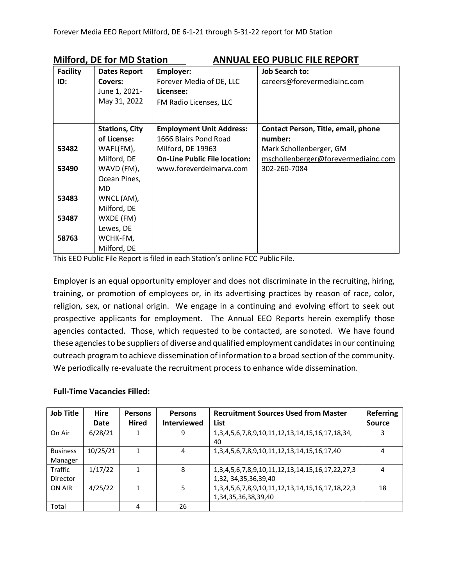| <b>Facility</b> | <b>Dates Report</b>   | Employer:                            | <b>Job Search to:</b>               |
|-----------------|-----------------------|--------------------------------------|-------------------------------------|
| ID:             | Covers:               | Forever Media of DE, LLC             | careers@forevermediainc.com         |
|                 | June 1, 2021-         | Licensee:                            |                                     |
|                 | May 31, 2022          | FM Radio Licenses, LLC               |                                     |
|                 |                       |                                      |                                     |
|                 | <b>Stations, City</b> | <b>Employment Unit Address:</b>      | Contact Person, Title, email, phone |
|                 | of License:           | 1666 Blairs Pond Road                | number:                             |
| 53482           | WAFL(FM),             | Milford, DE 19963                    | Mark Schollenberger, GM             |
|                 | Milford, DE           | <b>On-Line Public File location:</b> | mschollenberger@forevermediainc.com |
| 53490           | WAVD (FM),            | www.foreverdelmarya.com              | 302-260-7084                        |
|                 | Ocean Pines,          |                                      |                                     |
|                 | <b>MD</b>             |                                      |                                     |
| 53483           | WNCL (AM),            |                                      |                                     |
|                 | Milford, DE           |                                      |                                     |
| 53487           | WXDE (FM)             |                                      |                                     |
|                 | Lewes, DE             |                                      |                                     |
| 58763           | WCHK-FM,              |                                      |                                     |
|                 | Milford, DE           |                                      |                                     |

**Milford, DE for MD Station ANNUAL EEO PUBLIC FILE REPORT**

This EEO Public File Report is filed in each Station's online FCC Public File.

Employer is an equal opportunity employer and does not discriminate in the recruiting, hiring, training, or promotion of employees or, in its advertising practices by reason of race, color, religion, sex, or national origin. We engage in a continuing and evolving effort to seek out prospective applicants for employment. The Annual EEO Reports herein exemplify those agencies contacted. Those, which requested to be contacted, are sonoted. We have found these agencies to be suppliers of diverse and qualified employment candidates in our continuing outreach program to achieve dissemination of information to a broad section of the community. We periodically re-evaluate the recruitment process to enhance wide dissemination.

## **Full-Time Vacancies Filled:**

| <b>Job Title</b>           | <b>Hire</b> | Persons      | <b>Persons</b>     | <b>Recruitment Sources Used from Master</b>                                                   | <b>Referring</b> |
|----------------------------|-------------|--------------|--------------------|-----------------------------------------------------------------------------------------------|------------------|
|                            | Date        | <b>Hired</b> | <b>Interviewed</b> | List                                                                                          | <b>Source</b>    |
| On Air                     | 6/28/21     |              | 9                  | 1, 3, 4, 5, 6, 7, 8, 9, 10, 11, 12, 13, 14, 15, 16, 17, 18, 34,<br>40                         | 3                |
| <b>Business</b><br>Manager | 10/25/21    |              | 4                  | 1, 3, 4, 5, 6, 7, 8, 9, 10, 11, 12, 13, 14, 15, 16, 17, 40                                    | 4                |
| Traffic<br>Director        | 1/17/22     |              | 8                  | 1, 3, 4, 5, 6, 7, 8, 9, 10, 11, 12, 13, 14, 15, 16, 17, 22, 27, 3<br>1,32, 34, 35, 36, 39, 40 | 4                |
| ON AIR                     | 4/25/22     |              | 5                  | 1, 3, 4, 5, 6, 7, 8, 9, 10, 11, 12, 13, 14, 15, 16, 17, 18, 22, 3<br>1,34,35,36,38,39,40      | 18               |
| Total                      |             | 4            | 26                 |                                                                                               |                  |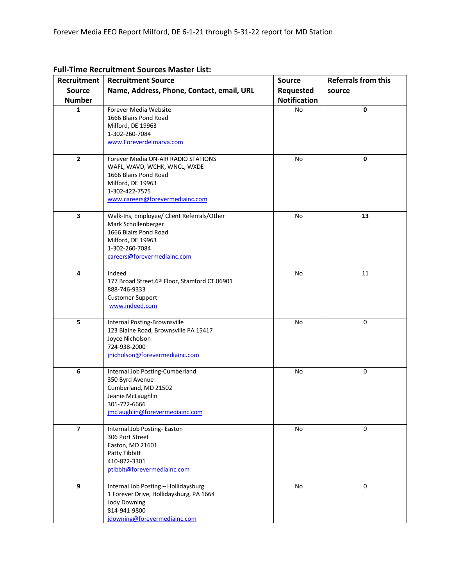| Recruitment             | <b>Recruitment Source</b>                      | <b>Referrals from this</b><br><b>Source</b> |        |  |  |
|-------------------------|------------------------------------------------|---------------------------------------------|--------|--|--|
| <b>Source</b>           | Name, Address, Phone, Contact, email, URL      | Requested                                   | source |  |  |
|                         |                                                |                                             |        |  |  |
| <b>Number</b>           |                                                | <b>Notification</b>                         |        |  |  |
| 1                       | Forever Media Website                          | No                                          | 0      |  |  |
|                         | 1666 Blairs Pond Road                          |                                             |        |  |  |
|                         | Milford, DE 19963                              |                                             |        |  |  |
|                         | 1-302-260-7084                                 |                                             |        |  |  |
|                         | www.Foreverdelmarva.com                        |                                             |        |  |  |
| $\mathbf{2}$            | Forever Media ON-AIR RADIO STATIONS            | No                                          | 0      |  |  |
|                         | WAFL, WAVD, WCHK, WNCL, WXDE                   |                                             |        |  |  |
|                         | 1666 Blairs Pond Road                          |                                             |        |  |  |
|                         | Milford, DE 19963                              |                                             |        |  |  |
|                         | 1-302-422-7575                                 |                                             |        |  |  |
|                         | www.careers@forevermediainc.com                |                                             |        |  |  |
| $\overline{\mathbf{3}}$ | Walk-Ins, Employee/ Client Referrals/Other     | No                                          | 13     |  |  |
|                         | Mark Schollenberger                            |                                             |        |  |  |
|                         | 1666 Blairs Pond Road                          |                                             |        |  |  |
|                         | Milford, DE 19963                              |                                             |        |  |  |
|                         | 1-302-260-7084                                 |                                             |        |  |  |
|                         | careers@forevermediainc.com                    |                                             |        |  |  |
| 4                       | Indeed                                         | No                                          | 11     |  |  |
|                         | 177 Broad Street, 6th Floor, Stamford CT 06901 |                                             |        |  |  |
|                         | 888-746-9333                                   |                                             |        |  |  |
|                         | <b>Customer Support</b>                        |                                             |        |  |  |
|                         | www.indeed.com                                 |                                             |        |  |  |
|                         |                                                |                                             |        |  |  |
| 5                       | Internal Posting-Brownsville                   | No                                          | 0      |  |  |
|                         | 123 Blaine Road, Brownsville PA 15417          |                                             |        |  |  |
|                         | Joyce Nicholson                                |                                             |        |  |  |
|                         | 724-938-2000                                   |                                             |        |  |  |
|                         | jnicholson@forevermediainc.com                 |                                             |        |  |  |
| 6                       | Internal Job Posting-Cumberland                | No                                          | 0      |  |  |
|                         | 350 Byrd Avenue                                |                                             |        |  |  |
|                         | Cumberland, MD 21502                           |                                             |        |  |  |
|                         | Jeanie McLaughlin                              |                                             |        |  |  |
|                         | 301-722-6666                                   |                                             |        |  |  |
|                         | jmclaughlin@forevermediainc.com                |                                             |        |  |  |
| $\overline{\mathbf{z}}$ | Internal Job Posting-Easton                    | No                                          | 0      |  |  |
|                         | 306 Port Street                                |                                             |        |  |  |
|                         | Easton, MD 21601                               |                                             |        |  |  |
|                         | Patty Tibbitt                                  |                                             |        |  |  |
|                         | 410-822-3301                                   |                                             |        |  |  |
|                         | ptibbit@forevermediainc.com                    |                                             |        |  |  |
| 9                       | Internal Job Posting - Hollidaysburg           | No                                          | 0      |  |  |
|                         | 1 Forever Drive, Hollidaysburg, PA 1664        |                                             |        |  |  |
|                         | <b>Jody Downing</b>                            |                                             |        |  |  |
|                         | 814-941-9800                                   |                                             |        |  |  |
|                         | jdowning@forevermediainc.com                   |                                             |        |  |  |
|                         |                                                |                                             |        |  |  |

## **Full-Time Recruitment Sources Master List:**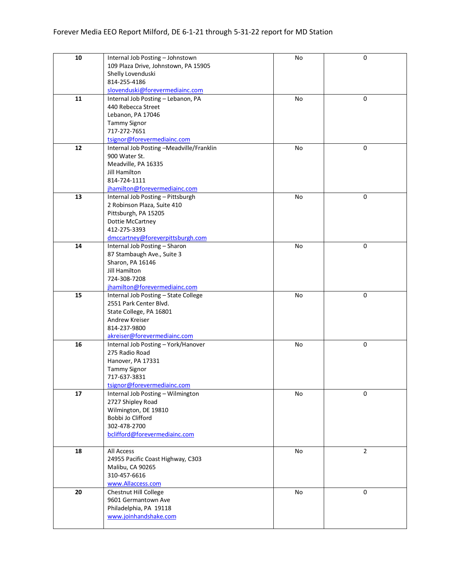| 10 | Internal Job Posting - Johnstown             | No | $\pmb{0}$      |
|----|----------------------------------------------|----|----------------|
|    | 109 Plaza Drive, Johnstown, PA 15905         |    |                |
|    | Shelly Lovenduski                            |    |                |
|    | 814-255-4186                                 |    |                |
|    | slovenduski@forevermediainc.com              |    |                |
| 11 | Internal Job Posting - Lebanon, PA           | No | 0              |
|    | 440 Rebecca Street                           |    |                |
|    | Lebanon, PA 17046                            |    |                |
|    | <b>Tammy Signor</b>                          |    |                |
|    | 717-272-7651                                 |    |                |
|    | tsignor@forevermediainc.com                  |    |                |
| 12 | Internal Job Posting -Meadville/Franklin     | No | 0              |
|    | 900 Water St.                                |    |                |
|    | Meadville, PA 16335<br>Jill Hamilton         |    |                |
|    | 814-724-1111                                 |    |                |
|    | jhamilton@forevermediainc.com                |    |                |
| 13 | Internal Job Posting - Pittsburgh            | No | 0              |
|    | 2 Robinson Plaza, Suite 410                  |    |                |
|    | Pittsburgh, PA 15205                         |    |                |
|    | Dottie McCartney                             |    |                |
|    | 412-275-3393                                 |    |                |
|    | dmccartney@foreverpittsburgh.com             |    |                |
| 14 | Internal Job Posting - Sharon                | No | 0              |
|    | 87 Stambaugh Ave., Suite 3                   |    |                |
|    | Sharon, PA 16146                             |    |                |
|    | Jill Hamilton                                |    |                |
|    | 724-308-7208                                 |    |                |
|    | jhamilton@forevermediainc.com                |    |                |
| 15 | Internal Job Posting - State College         | No | 0              |
|    | 2551 Park Center Blvd.                       |    |                |
|    | State College, PA 16801                      |    |                |
|    | Andrew Kreiser<br>814-237-9800               |    |                |
|    | akreiser@forevermediainc.com                 |    |                |
| 16 | Internal Job Posting - York/Hanover          | No | 0              |
|    | 275 Radio Road                               |    |                |
|    | Hanover, PA 17331                            |    |                |
|    | <b>Tammy Signor</b>                          |    |                |
|    | 717-637-3831                                 |    |                |
|    | tsignor@forevermediainc.com                  |    |                |
| 17 | Internal Job Posting - Wilmington            | No | 0              |
|    | 2727 Shipley Road                            |    |                |
|    | Wilmington, DE 19810                         |    |                |
|    | Bobbi Jo Clifford                            |    |                |
|    | 302-478-2700                                 |    |                |
|    | bclifford@forevermediainc.com                |    |                |
|    |                                              |    |                |
| 18 | All Access                                   | No | $\overline{2}$ |
|    | 24955 Pacific Coast Highway, C303            |    |                |
|    | Malibu, CA 90265                             |    |                |
|    | 310-457-6616                                 |    |                |
| 20 | www.Allaccess.com                            | No | $\mathbf 0$    |
|    | Chestnut Hill College<br>9601 Germantown Ave |    |                |
|    | Philadelphia, PA 19118                       |    |                |
|    | www.joinhandshake.com                        |    |                |
|    |                                              |    |                |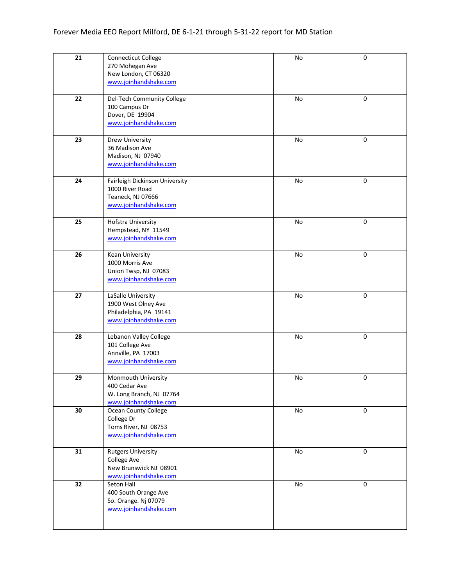| 21 | Connecticut College<br>270 Mohegan Ave<br>New London, CT 06320<br>www.joinhandshake.com         | No | 0           |
|----|-------------------------------------------------------------------------------------------------|----|-------------|
| 22 | Del-Tech Community College<br>100 Campus Dr<br>Dover, DE 19904<br>www.joinhandshake.com         | No | $\mathbf 0$ |
| 23 | Drew University<br>36 Madison Ave<br>Madison, NJ 07940<br>www.joinhandshake.com                 | No | 0           |
| 24 | Fairleigh Dickinson University<br>1000 River Road<br>Teaneck, NJ 07666<br>www.joinhandshake.com | No | 0           |
| 25 | <b>Hofstra University</b><br>Hempstead, NY 11549<br>www.joinhandshake.com                       | No | $\pmb{0}$   |
| 26 | Kean University<br>1000 Morris Ave<br>Union Twsp, NJ 07083<br>www.joinhandshake.com             | No | 0           |
| 27 | LaSalle University<br>1900 West Olney Ave<br>Philadelphia, PA 19141<br>www.joinhandshake.com    | No | $\pmb{0}$   |
| 28 | Lebanon Valley College<br>101 College Ave<br>Annville, PA 17003<br>www.joinhandshake.com        | No | $\pmb{0}$   |
| 29 | Monmouth University<br>400 Cedar Ave<br>W. Long Branch, NJ 07764<br>www.joinhandshake.com       | No | $\pmb{0}$   |
| 30 | Ocean County College<br>College Dr<br>Toms River, NJ 08753<br>www.joinhandshake.com             | No | 0           |
| 31 | <b>Rutgers University</b><br>College Ave<br>New Brunswick NJ 08901<br>www.joinhandshake.com     | No | $\mathbf 0$ |
| 32 | Seton Hall<br>400 South Orange Ave<br>So. Orange. Nj 07079<br>www.joinhandshake.com             | No | $\pmb{0}$   |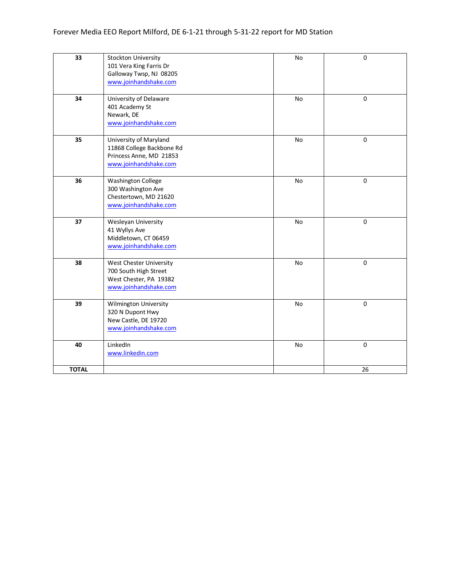| $\overline{33}$ | <b>Stockton University</b><br>101 Vera King Farris Dr<br>Galloway Twsp, NJ 08205<br>www.joinhandshake.com | No        | 0           |
|-----------------|-----------------------------------------------------------------------------------------------------------|-----------|-------------|
| 34              | University of Delaware<br>401 Academy St<br>Newark, DE<br>www.joinhandshake.com                           | <b>No</b> | $\mathbf 0$ |
| 35              | University of Maryland<br>11868 College Backbone Rd<br>Princess Anne, MD 21853<br>www.joinhandshake.com   | No        | $\mathbf 0$ |
| 36              | <b>Washington College</b><br>300 Washington Ave<br>Chestertown, MD 21620<br>www.joinhandshake.com         | <b>No</b> | 0           |
| 37              | Wesleyan University<br>41 Wyllys Ave<br>Middletown, CT 06459<br>www.joinhandshake.com                     | No        | $\mathbf 0$ |
| 38              | West Chester University<br>700 South High Street<br>West Chester, PA 19382<br>www.joinhandshake.com       | No        | 0           |
| 39              | Wilmington University<br>320 N Dupont Hwy<br>New Castle, DE 19720<br>www.joinhandshake.com                | No        | 0           |
| 40              | LinkedIn<br>www.linkedin.com                                                                              | No        | 0           |
| <b>TOTAL</b>    |                                                                                                           |           | 26          |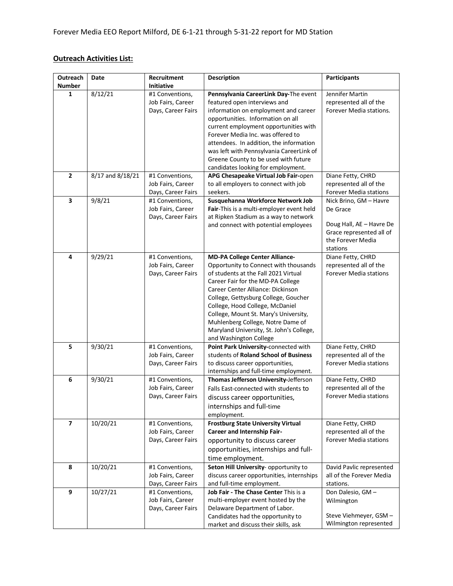## **Outreach Activities List:**

| Outreach<br><b>Number</b> | Date             | Recruitment<br>Initiative                                  | <b>Description</b>                                                                                                                                                                                                                                                                                                                                                                                                              | <b>Participants</b>                                                                                                         |
|---------------------------|------------------|------------------------------------------------------------|---------------------------------------------------------------------------------------------------------------------------------------------------------------------------------------------------------------------------------------------------------------------------------------------------------------------------------------------------------------------------------------------------------------------------------|-----------------------------------------------------------------------------------------------------------------------------|
| $\mathbf{1}$              | 8/12/21          | #1 Conventions,<br>Job Fairs, Career<br>Days, Career Fairs | Pennsylvania CareerLink Day-The event<br>featured open interviews and<br>information on employment and career<br>opportunities. Information on all<br>current employment opportunities with<br>Forever Media Inc. was offered to<br>attendees. In addition, the information<br>was left with Pennsylvania CareerLink of<br>Greene County to be used with future<br>candidates looking for employment.                           | Jennifer Martin<br>represented all of the<br>Forever Media stations.                                                        |
| $\overline{2}$            | 8/17 and 8/18/21 | #1 Conventions,<br>Job Fairs, Career<br>Days, Career Fairs | APG Chesapeake Virtual Job Fair-open<br>to all employers to connect with job<br>seekers.                                                                                                                                                                                                                                                                                                                                        | Diane Fetty, CHRD<br>represented all of the<br>Forever Media stations                                                       |
| 3                         | 9/8/21           | #1 Conventions,<br>Job Fairs, Career<br>Days, Career Fairs | Susquehanna Workforce Network Job<br>Fair-This is a multi-employer event held<br>at Ripken Stadium as a way to network<br>and connect with potential employees                                                                                                                                                                                                                                                                  | Nick Brino, GM - Havre<br>De Grace<br>Doug Hall, AE - Havre De<br>Grace represented all of<br>the Forever Media<br>stations |
| 4                         | 9/29/21          | #1 Conventions,<br>Job Fairs, Career<br>Days, Career Fairs | <b>MD-PA College Center Alliance-</b><br>Opportunity to Connect with thousands<br>of students at the Fall 2021 Virtual<br>Career Fair for the MD-PA College<br>Career Center Alliance: Dickinson<br>College, Gettysburg College, Goucher<br>College, Hood College, McDaniel<br>College, Mount St. Mary's University,<br>Muhlenberg College, Notre Dame of<br>Maryland University, St. John's College,<br>and Washington College | Diane Fetty, CHRD<br>represented all of the<br><b>Forever Media stations</b>                                                |
| 5                         | 9/30/21          | #1 Conventions,<br>Job Fairs, Career<br>Days, Career Fairs | Point Park University-connected with<br>students of Roland School of Business<br>to discuss career opportunities,<br>internships and full-time employment.                                                                                                                                                                                                                                                                      | Diane Fetty, CHRD<br>represented all of the<br><b>Forever Media stations</b>                                                |
| 6                         | 9/30/21          | #1 Conventions,<br>Job Fairs, Career<br>Days, Career Fairs | Thomas Jefferson University-Jefferson<br>Falls East-connected with students to<br>discuss career opportunities,<br>internships and full-time<br>employment.                                                                                                                                                                                                                                                                     | Diane Fetty, CHRD<br>represented all of the<br><b>Forever Media stations</b>                                                |
| $\overline{7}$            | 10/20/21         | #1 Conventions,<br>Job Fairs, Career<br>Days, Career Fairs | <b>Frostburg State University Virtual</b><br><b>Career and Internship Fair-</b><br>opportunity to discuss career<br>opportunities, internships and full-<br>time employment.                                                                                                                                                                                                                                                    | Diane Fetty, CHRD<br>represented all of the<br><b>Forever Media stations</b>                                                |
| 8                         | 10/20/21         | #1 Conventions,<br>Job Fairs, Career<br>Days, Career Fairs | Seton Hill University- opportunity to<br>discuss career opportunities, internships<br>and full-time employment.                                                                                                                                                                                                                                                                                                                 | David Pavlic represented<br>all of the Forever Media<br>stations.                                                           |
| 9                         | 10/27/21         | #1 Conventions,<br>Job Fairs, Career<br>Days, Career Fairs | Job Fair - The Chase Center This is a<br>multi-employer event hosted by the<br>Delaware Department of Labor.<br>Candidates had the opportunity to<br>market and discuss their skills, ask                                                                                                                                                                                                                                       | Don Dalesio, GM-<br>Wilmington<br>Steve Viehmeyer, GSM -<br>Wilmington represented                                          |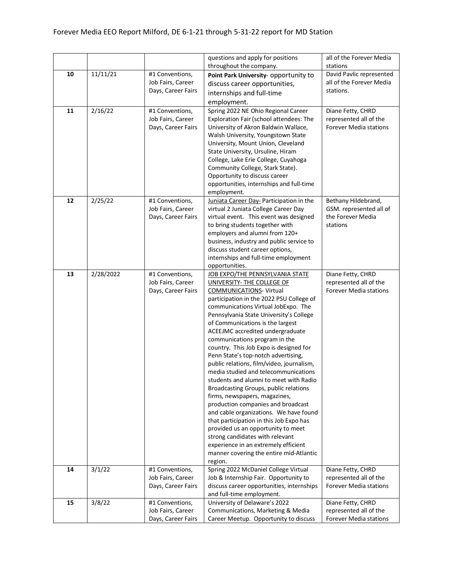|    |           |                    | questions and apply for positions                                       | all of the Forever Media      |
|----|-----------|--------------------|-------------------------------------------------------------------------|-------------------------------|
|    |           |                    | throughout the company.                                                 | stations                      |
| 10 | 11/11/21  | #1 Conventions,    | Point Park University- opportunity to                                   | David Pavlic represented      |
|    |           | Job Fairs, Career  | discuss career opportunities,                                           | all of the Forever Media      |
|    |           | Days, Career Fairs | internships and full-time                                               | stations.                     |
|    |           |                    |                                                                         |                               |
|    |           |                    | employment.                                                             |                               |
| 11 | 2/16/22   | #1 Conventions,    | Spring 2022 NE Ohio Regional Career                                     | Diane Fetty, CHRD             |
|    |           | Job Fairs, Career  | Exploration Fair (school attendees: The                                 | represented all of the        |
|    |           | Days, Career Fairs | University of Akron Baldwin Wallace,                                    | <b>Forever Media stations</b> |
|    |           |                    | Walsh University, Youngstown State                                      |                               |
|    |           |                    | University, Mount Union, Cleveland                                      |                               |
|    |           |                    | State University, Ursuline, Hiram                                       |                               |
|    |           |                    | College, Lake Erie College, Cuyahoga                                    |                               |
|    |           |                    | Community College, Stark State).                                        |                               |
|    |           |                    | Opportunity to discuss career                                           |                               |
|    |           |                    | opportunities, internships and full-time                                |                               |
|    |           |                    | employment.                                                             |                               |
| 12 | 2/25/22   | #1 Conventions,    | Juniata Career Day- Participation in the                                | Bethany Hildebrand,           |
|    |           | Job Fairs, Career  | virtual 2 Juniata College Career Day                                    | GSM. represented all of       |
|    |           | Days, Career Fairs | virtual event. This event was designed                                  | the Forever Media             |
|    |           |                    | to bring students together with                                         | stations                      |
|    |           |                    | employers and alumni from 120+                                          |                               |
|    |           |                    | business, industry and public service to                                |                               |
|    |           |                    | discuss student career options,                                         |                               |
|    |           |                    | internships and full-time employment                                    |                               |
|    |           |                    | opportunities.                                                          |                               |
| 13 | 2/28/2022 | #1 Conventions,    | JOB EXPO/THE PENNSYLVANIA STATE                                         | Diane Fetty, CHRD             |
|    |           | Job Fairs, Career  | UNIVERSITY- THE COLLEGE OF                                              | represented all of the        |
|    |           | Days, Career Fairs | <b>COMMUNICATIONS- Virtual</b>                                          | <b>Forever Media stations</b> |
|    |           |                    | participation in the 2022 PSU College of                                |                               |
|    |           |                    | communications Virtual JobExpo. The                                     |                               |
|    |           |                    | Pennsylvania State University's College                                 |                               |
|    |           |                    | of Communications is the largest<br>ACEEJMC accredited undergraduate    |                               |
|    |           |                    |                                                                         |                               |
|    |           |                    | communications program in the<br>country. This Job Expo is designed for |                               |
|    |           |                    | Penn State's top-notch advertising,                                     |                               |
|    |           |                    | public relations, film/video, journalism,                               |                               |
|    |           |                    | media studied and telecommunications                                    |                               |
|    |           |                    | students and alumni to meet with Radio                                  |                               |
|    |           |                    | Broadcasting Groups, public relations                                   |                               |
|    |           |                    | firms, newspapers, magazines,                                           |                               |
|    |           |                    | production companies and broadcast                                      |                               |
|    |           |                    | and cable organizations. We have found                                  |                               |
|    |           |                    | that participation in this Job Expo has                                 |                               |
|    |           |                    | provided us an opportunity to meet                                      |                               |
|    |           |                    | strong candidates with relevant                                         |                               |
|    |           |                    | experience in an extremely efficient                                    |                               |
|    |           |                    | manner covering the entire mid-Atlantic                                 |                               |
|    |           |                    | region.                                                                 |                               |
| 14 | 3/1/22    | #1 Conventions,    | Spring 2022 McDaniel College Virtual                                    | Diane Fetty, CHRD             |
|    |           | Job Fairs, Career  | Job & Internship Fair. Opportunity to                                   | represented all of the        |
|    |           | Days, Career Fairs | discuss career opportunities, internships                               | <b>Forever Media stations</b> |
|    |           |                    | and full-time employment.                                               |                               |
| 15 | 3/8/22    | #1 Conventions,    | University of Delaware's 2022                                           | Diane Fetty, CHRD             |
|    |           | Job Fairs, Career  | Communications, Marketing & Media                                       | represented all of the        |
|    |           | Days, Career Fairs | Career Meetup. Opportunity to discuss                                   | Forever Media stations        |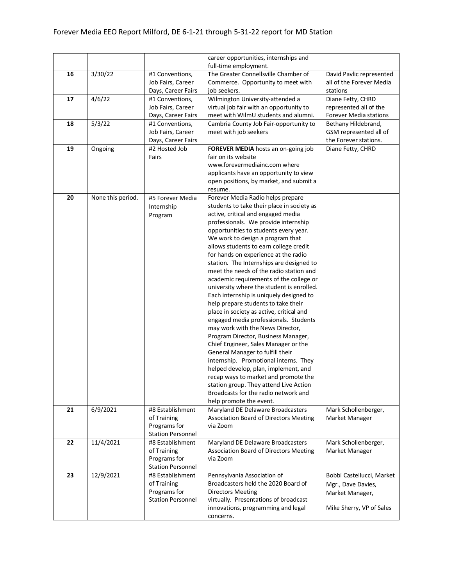|    |                   |                          | career opportunities, internships and         |                           |
|----|-------------------|--------------------------|-----------------------------------------------|---------------------------|
|    |                   |                          | full-time employment.                         |                           |
| 16 | 3/30/22           | #1 Conventions,          | The Greater Connellsville Chamber of          | David Pavlic represented  |
|    |                   | Job Fairs, Career        | Commerce. Opportunity to meet with            | all of the Forever Media  |
|    |                   | Days, Career Fairs       | job seekers.                                  | stations                  |
| 17 | 4/6/22            | #1 Conventions,          | Wilmington University-attended a              | Diane Fetty, CHRD         |
|    |                   | Job Fairs, Career        | virtual job fair with an opportunity to       | represented all of the    |
|    |                   | Days, Career Fairs       | meet with WilmU students and alumni.          | Forever Media stations    |
| 18 | 5/3/22            | #1 Conventions,          | Cambria County Job Fair-opportunity to        | Bethany Hildebrand,       |
|    |                   | Job Fairs, Career        | meet with job seekers                         | GSM represented all of    |
|    |                   | Days, Career Fairs       |                                               | the Forever stations.     |
| 19 | Ongoing           | #2 Hosted Job            | FOREVER MEDIA hosts an on-going job           | Diane Fetty, CHRD         |
|    |                   | Fairs                    | fair on its website                           |                           |
|    |                   |                          | www.forevermediainc.com where                 |                           |
|    |                   |                          |                                               |                           |
|    |                   |                          | applicants have an opportunity to view        |                           |
|    |                   |                          | open positions, by market, and submit a       |                           |
|    |                   |                          | resume.                                       |                           |
| 20 | None this period. | #5 Forever Media         | Forever Media Radio helps prepare             |                           |
|    |                   | Internship               | students to take their place in society as    |                           |
|    |                   | Program                  | active, critical and engaged media            |                           |
|    |                   |                          | professionals. We provide internship          |                           |
|    |                   |                          | opportunities to students every year.         |                           |
|    |                   |                          | We work to design a program that              |                           |
|    |                   |                          | allows students to earn college credit        |                           |
|    |                   |                          | for hands on experience at the radio          |                           |
|    |                   |                          | station. The Internships are designed to      |                           |
|    |                   |                          | meet the needs of the radio station and       |                           |
|    |                   |                          | academic requirements of the college or       |                           |
|    |                   |                          | university where the student is enrolled.     |                           |
|    |                   |                          | Each internship is uniquely designed to       |                           |
|    |                   |                          | help prepare students to take their           |                           |
|    |                   |                          | place in society as active, critical and      |                           |
|    |                   |                          | engaged media professionals. Students         |                           |
|    |                   |                          | may work with the News Director,              |                           |
|    |                   |                          | Program Director, Business Manager,           |                           |
|    |                   |                          | Chief Engineer, Sales Manager or the          |                           |
|    |                   |                          | General Manager to fulfill their              |                           |
|    |                   |                          |                                               |                           |
|    |                   |                          | internship. Promotional interns. They         |                           |
|    |                   |                          | helped develop, plan, implement, and          |                           |
|    |                   |                          | recap ways to market and promote the          |                           |
|    |                   |                          | station group. They attend Live Action        |                           |
|    |                   |                          | Broadcasts for the radio network and          |                           |
|    |                   |                          | help promote the event.                       |                           |
| 21 | 6/9/2021          | #8 Establishment         | Maryland DE Delaware Broadcasters             | Mark Schollenberger,      |
|    |                   | of Training              | <b>Association Board of Directors Meeting</b> | Market Manager            |
|    |                   | Programs for             | via Zoom                                      |                           |
|    |                   | <b>Station Personnel</b> |                                               |                           |
| 22 | 11/4/2021         | #8 Establishment         | Maryland DE Delaware Broadcasters             | Mark Schollenberger,      |
|    |                   | of Training              | <b>Association Board of Directors Meeting</b> | Market Manager            |
|    |                   | Programs for             | via Zoom                                      |                           |
|    |                   | <b>Station Personnel</b> |                                               |                           |
| 23 | 12/9/2021         | #8 Establishment         | Pennsylvania Association of                   | Bobbi Castellucci, Market |
|    |                   | of Training              | Broadcasters held the 2020 Board of           | Mgr., Dave Davies,        |
|    |                   | Programs for             | <b>Directors Meeting</b>                      | Market Manager,           |
|    |                   | <b>Station Personnel</b> | virtually. Presentations of broadcast         |                           |
|    |                   |                          | innovations, programming and legal            | Mike Sherry, VP of Sales  |
|    |                   |                          | concerns.                                     |                           |
|    |                   |                          |                                               |                           |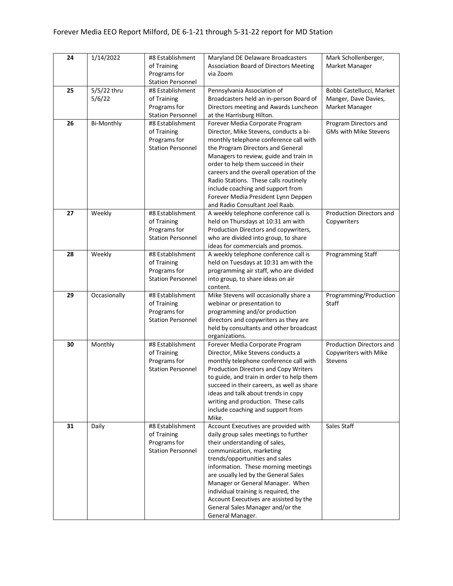| 24 | 1/14/2022             | #8 Establishment<br>of Training<br>Programs for<br><b>Station Personnel</b> | Maryland DE Delaware Broadcasters<br><b>Association Board of Directors Meeting</b><br>via Zoom                                                                                                                                                                                                                                                                                                                                                | Mark Schollenberger,<br>Market Manager                              |
|----|-----------------------|-----------------------------------------------------------------------------|-----------------------------------------------------------------------------------------------------------------------------------------------------------------------------------------------------------------------------------------------------------------------------------------------------------------------------------------------------------------------------------------------------------------------------------------------|---------------------------------------------------------------------|
| 25 | 5/5/22 thru<br>5/6/22 | #8 Establishment<br>of Training<br>Programs for<br><b>Station Personnel</b> | Pennsylvania Association of<br>Broadcasters held an in-person Board of<br>Directors meeting and Awards Luncheon<br>at the Harrisburg Hilton.                                                                                                                                                                                                                                                                                                  | Bobbi Castellucci, Market<br>Manger, Dave Davies,<br>Market Manager |
| 26 | <b>Bi-Monthly</b>     | #8 Establishment<br>of Training<br>Programs for<br><b>Station Personnel</b> | Forever Media Corporate Program<br>Director, Mike Stevens, conducts a bi-<br>monthly telephone conference call with<br>the Program Directors and General<br>Managers to review, guide and train in<br>order to help them succeed in their<br>careers and the overall operation of the<br>Radio Stations. These calls routinely<br>include coaching and support from<br>Forever Media President Lynn Deppen<br>and Radio Consultant Joel Raab. | Program Directors and<br><b>GMs with Mike Stevens</b>               |
| 27 | Weekly                | #8 Establishment<br>of Training<br>Programs for<br><b>Station Personnel</b> | A weekly telephone conference call is<br>held on Thursdays at 10:31 am with<br>Production Directors and copywriters,<br>who are divided into group, to share<br>ideas for commercials and promos.                                                                                                                                                                                                                                             | Production Directors and<br>Copywriters                             |
| 28 | Weekly                | #8 Establishment<br>of Training<br>Programs for<br><b>Station Personnel</b> | A weekly telephone conference call is<br>held on Tuesdays at 10:31 am with the<br>programming air staff, who are divided<br>into group, to share ideas on air<br>content.                                                                                                                                                                                                                                                                     | Programming Staff                                                   |
| 29 | Occasionally          | #8 Establishment<br>of Training<br>Programs for<br><b>Station Personnel</b> | Mike Stevens will occasionally share a<br>webinar or presentation to<br>programming and/or production<br>directors and copywriters as they are<br>held by consultants and other broadcast<br>organizations.                                                                                                                                                                                                                                   | Programming/Production<br>Staff                                     |
| 30 | Monthly               | #8 Establishment<br>of Training<br>Programs for<br><b>Station Personnel</b> | Forever Media Corporate Program<br>Director, Mike Stevens conducts a<br>monthly telephone conference call with<br>Production Directors and Copy Writers<br>to guide, and train in order to help them<br>succeed in their careers, as well as share<br>ideas and talk about trends in copy<br>writing and production. These calls<br>include coaching and support from<br>Mike.                                                                | Production Directors and<br>Copywriters with Mike<br>Stevens        |
| 31 | Daily                 | #8 Establishment<br>of Training<br>Programs for<br><b>Station Personnel</b> | Account Executives are provided with<br>daily group sales meetings to further<br>their understanding of sales,<br>communication, marketing<br>trends/opportunities and sales<br>information. These morning meetings<br>are usually led by the General Sales<br>Manager or General Manager. When<br>individual training is required, the<br>Account Executives are assisted by the<br>General Sales Manager and/or the<br>General Manager.     | Sales Staff                                                         |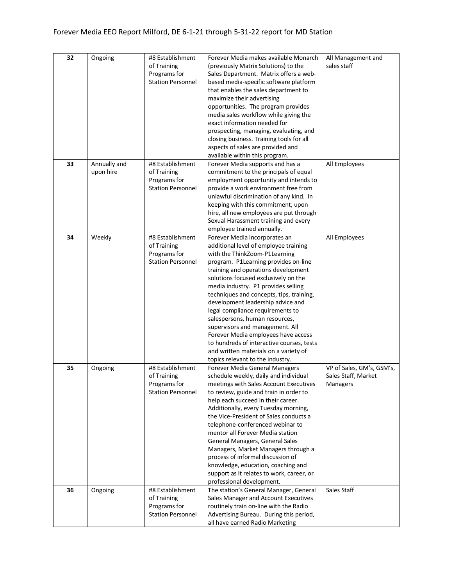| 32 | Ongoing      | #8 Establishment         | Forever Media makes available Monarch                                         | All Management and        |
|----|--------------|--------------------------|-------------------------------------------------------------------------------|---------------------------|
|    |              | of Training              | (previously Matrix Solutions) to the                                          | sales staff               |
|    |              | Programs for             | Sales Department. Matrix offers a web-                                        |                           |
|    |              | <b>Station Personnel</b> | based media-specific software platform                                        |                           |
|    |              |                          | that enables the sales department to                                          |                           |
|    |              |                          | maximize their advertising                                                    |                           |
|    |              |                          | opportunities. The program provides                                           |                           |
|    |              |                          | media sales workflow while giving the                                         |                           |
|    |              |                          | exact information needed for                                                  |                           |
|    |              |                          | prospecting, managing, evaluating, and                                        |                           |
|    |              |                          | closing business. Training tools for all                                      |                           |
|    |              |                          | aspects of sales are provided and                                             |                           |
|    |              |                          | available within this program.                                                |                           |
| 33 | Annually and | #8 Establishment         | Forever Media supports and has a                                              | All Employees             |
|    | upon hire    | of Training              | commitment to the principals of equal                                         |                           |
|    |              | Programs for             | employment opportunity and intends to                                         |                           |
|    |              | <b>Station Personnel</b> | provide a work environment free from                                          |                           |
|    |              |                          | unlawful discrimination of any kind. In<br>keeping with this commitment, upon |                           |
|    |              |                          | hire, all new employees are put through                                       |                           |
|    |              |                          | Sexual Harassment training and every                                          |                           |
|    |              |                          | employee trained annually.                                                    |                           |
| 34 | Weekly       | #8 Establishment         | Forever Media incorporates an                                                 | All Employees             |
|    |              | of Training              | additional level of employee training                                         |                           |
|    |              | Programs for             | with the ThinkZoom-P1Learning                                                 |                           |
|    |              | <b>Station Personnel</b> | program. P1Learning provides on-line                                          |                           |
|    |              |                          | training and operations development                                           |                           |
|    |              |                          | solutions focused exclusively on the                                          |                           |
|    |              |                          | media industry. P1 provides selling                                           |                           |
|    |              |                          | techniques and concepts, tips, training,                                      |                           |
|    |              |                          | development leadership advice and                                             |                           |
|    |              |                          | legal compliance requirements to                                              |                           |
|    |              |                          | salespersons, human resources,                                                |                           |
|    |              |                          | supervisors and management. All                                               |                           |
|    |              |                          | Forever Media employees have access                                           |                           |
|    |              |                          | to hundreds of interactive courses, tests                                     |                           |
|    |              |                          | and written materials on a variety of                                         |                           |
|    |              |                          | topics relevant to the industry.                                              |                           |
| 35 | Ongoing      | #8 Establishment         | <b>Forever Media General Managers</b>                                         | VP of Sales, GM's, GSM's, |
|    |              | of Training              | schedule weekly, daily and individual                                         | Sales Staff, Market       |
|    |              | Programs for             | meetings with Sales Account Executives                                        | Managers                  |
|    |              | <b>Station Personnel</b> | to review, guide and train in order to                                        |                           |
|    |              |                          | help each succeed in their career.<br>Additionally, every Tuesday morning,    |                           |
|    |              |                          | the Vice-President of Sales conducts a                                        |                           |
|    |              |                          | telephone-conferenced webinar to                                              |                           |
|    |              |                          | mentor all Forever Media station                                              |                           |
|    |              |                          | General Managers, General Sales                                               |                           |
|    |              |                          | Managers, Market Managers through a                                           |                           |
|    |              |                          | process of informal discussion of                                             |                           |
|    |              |                          | knowledge, education, coaching and                                            |                           |
|    |              |                          | support as it relates to work, career, or                                     |                           |
|    |              |                          | professional development.                                                     |                           |
| 36 | Ongoing      | #8 Establishment         | The station's General Manager, General                                        | Sales Staff               |
|    |              | of Training              | Sales Manager and Account Executives                                          |                           |
|    |              | Programs for             | routinely train on-line with the Radio                                        |                           |
|    |              | <b>Station Personnel</b> | Advertising Bureau. During this period,                                       |                           |
|    |              |                          | all have earned Radio Marketing                                               |                           |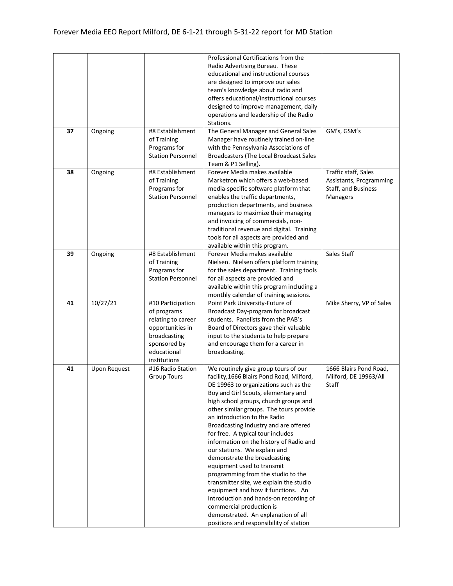|    |                     |                          | Professional Certifications from the      |                          |
|----|---------------------|--------------------------|-------------------------------------------|--------------------------|
|    |                     |                          | Radio Advertising Bureau. These           |                          |
|    |                     |                          | educational and instructional courses     |                          |
|    |                     |                          | are designed to improve our sales         |                          |
|    |                     |                          | team's knowledge about radio and          |                          |
|    |                     |                          | offers educational/instructional courses  |                          |
|    |                     |                          | designed to improve management, daily     |                          |
|    |                     |                          | operations and leadership of the Radio    |                          |
|    |                     |                          | Stations.                                 |                          |
| 37 | Ongoing             | #8 Establishment         | The General Manager and General Sales     | GM's, GSM's              |
|    |                     | of Training              | Manager have routinely trained on-line    |                          |
|    |                     | Programs for             | with the Pennsylvania Associations of     |                          |
|    |                     | <b>Station Personnel</b> | Broadcasters (The Local Broadcast Sales   |                          |
|    |                     |                          | Team & P1 Selling).                       |                          |
| 38 | Ongoing             | #8 Establishment         | Forever Media makes available             | Traffic staff, Sales     |
|    |                     | of Training              | Marketron which offers a web-based        | Assistants, Programming  |
|    |                     | Programs for             | media-specific software platform that     | Staff, and Business      |
|    |                     | <b>Station Personnel</b> | enables the traffic departments,          | <b>Managers</b>          |
|    |                     |                          | production departments, and business      |                          |
|    |                     |                          | managers to maximize their managing       |                          |
|    |                     |                          | and invoicing of commercials, non-        |                          |
|    |                     |                          | traditional revenue and digital. Training |                          |
|    |                     |                          | tools for all aspects are provided and    |                          |
|    |                     |                          | available within this program.            |                          |
| 39 | Ongoing             | #8 Establishment         | Forever Media makes available             | Sales Staff              |
|    |                     | of Training              | Nielsen. Nielsen offers platform training |                          |
|    |                     | Programs for             | for the sales department. Training tools  |                          |
|    |                     | <b>Station Personnel</b> | for all aspects are provided and          |                          |
|    |                     |                          | available within this program including a |                          |
|    |                     |                          | monthly calendar of training sessions.    |                          |
| 41 | 10/27/21            | #10 Participation        | Point Park University-Future of           | Mike Sherry, VP of Sales |
|    |                     | of programs              | Broadcast Day-program for broadcast       |                          |
|    |                     | relating to career       | students. Panelists from the PAB's        |                          |
|    |                     | opportunities in         | Board of Directors gave their valuable    |                          |
|    |                     | broadcasting             | input to the students to help prepare     |                          |
|    |                     | sponsored by             | and encourage them for a career in        |                          |
|    |                     | educational              | broadcasting.                             |                          |
|    |                     | institutions             |                                           |                          |
| 41 | <b>Upon Request</b> | #16 Radio Station        | We routinely give group tours of our      | 1666 Blairs Pond Road,   |
|    |                     | <b>Group Tours</b>       | facility, 1666 Blairs Pond Road, Milford, | Milford, DE 19963/All    |
|    |                     |                          | DE 19963 to organizations such as the     | Staff                    |
|    |                     |                          | Boy and Girl Scouts, elementary and       |                          |
|    |                     |                          | high school groups, church groups and     |                          |
|    |                     |                          | other similar groups. The tours provide   |                          |
|    |                     |                          | an introduction to the Radio              |                          |
|    |                     |                          | Broadcasting Industry and are offered     |                          |
|    |                     |                          | for free. A typical tour includes         |                          |
|    |                     |                          | information on the history of Radio and   |                          |
|    |                     |                          | our stations. We explain and              |                          |
|    |                     |                          | demonstrate the broadcasting              |                          |
|    |                     |                          | equipment used to transmit                |                          |
|    |                     |                          | programming from the studio to the        |                          |
|    |                     |                          | transmitter site, we explain the studio   |                          |
|    |                     |                          | equipment and how it functions. An        |                          |
|    |                     |                          | introduction and hands-on recording of    |                          |
|    |                     |                          | commercial production is                  |                          |
|    |                     |                          | demonstrated. An explanation of all       |                          |
|    |                     |                          | positions and responsibility of station   |                          |